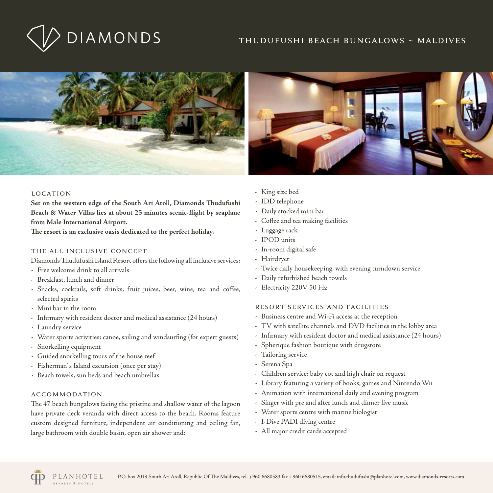# thudufushi beach bungalows ~ maldives





## location

**Set on the western edge of the South Ari Atoll, Diamonds Thudufushi Beach & Water Villas lies at about 25 minutes scenic-flight by seaplane from Male International Airport.**

**The resort is an exclusive oasis dedicated to the perfect holiday.**

# the all inclusive concept

Diamonds Thudufushi Island Resort offers the following all inclusive services:

- Free welcome drink to all arrivals
- Breakfast, lunch and dinner
- Snacks, cocktails, soft drinks, fruit juices, beer, wine, tea and coffee, selected spirits
- Mini bar in the room
- Infirmary with resident doctor and medical assistance (24 hours)
- Laundry service
- Water sports activities: canoe, sailing and windsurfing (for expert guests)
- Snorkelling equipment
- Guided snorkelling tours of the house reef
- Fisherman' s Island excursion (once per stay)
- Beach towels, sun beds and beach umbrellas

# accommodation

The 47 beach bungalows facing the pristine and shallow water of the lagoon have private deck veranda with direct access to the beach. Rooms feature custom designed furniture, independent air conditioning and ceiling fan, large bathroom with double basin, open air shower and:

- King size bed
- IDD telephone
- Daily stocked mini bar
- Coffee and tea making facilities
- Luggage rack
- IPOD units
- In-room digital safe
- Hairdryer
- Twice daily housekeeping, with evening turndown service
- Daily refurbished beach towels
- Electricity 220V 50 Hz

# resort services and facilities

- Business centre and Wi-Fi access at the reception
- TV with satellite channels and DVD facilities in the lobby area
- Infirmary with resident doctor and medical assistance (24 hours)
- Spherique fashion boutique with drugstore
- Tailoring service
- Serena Spa
- Children service: baby cot and high chair on request
- Library featuring a variety of books, games and Nintendo Wii
- Animation with international daily and evening program
- Singer with pre and after lunch and dinner live music
- Water sports centre with marine biologist
- I-Dive PADI diving centre
- All major credit cards accepted